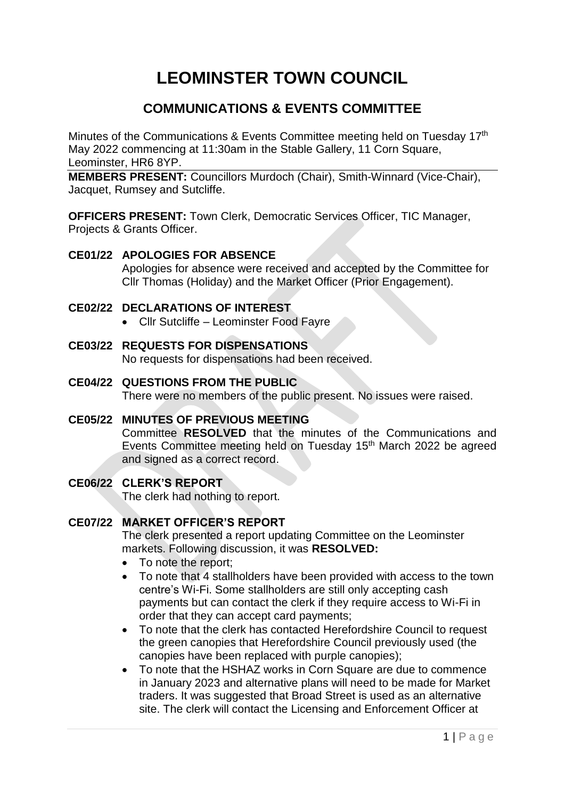# **LEOMINSTER TOWN COUNCIL**

## **COMMUNICATIONS & EVENTS COMMITTEE**

Minutes of the Communications & Events Committee meeting held on Tuesday 17th May 2022 commencing at 11:30am in the Stable Gallery, 11 Corn Square, Leominster, HR6 8YP.

**MEMBERS PRESENT:** Councillors Murdoch (Chair), Smith-Winnard (Vice-Chair), Jacquet, Rumsey and Sutcliffe.

**OFFICERS PRESENT:** Town Clerk, Democratic Services Officer, TIC Manager, Projects & Grants Officer.

#### **CE01/22 APOLOGIES FOR ABSENCE**

Apologies for absence were received and accepted by the Committee for Cllr Thomas (Holiday) and the Market Officer (Prior Engagement).

#### **CE02/22 DECLARATIONS OF INTEREST**

- Cllr Sutcliffe Leominster Food Fayre
- **CE03/22 REQUESTS FOR DISPENSATIONS** No requests for dispensations had been received.
- **CE04/22 QUESTIONS FROM THE PUBLIC** There were no members of the public present. No issues were raised.
- **CE05/22 MINUTES OF PREVIOUS MEETING** Committee **RESOLVED** that the minutes of the Communications and Events Committee meeting held on Tuesday 15<sup>th</sup> March 2022 be agreed and signed as a correct record.

#### **CE06/22 CLERK'S REPORT**

The clerk had nothing to report.

### **CE07/22 MARKET OFFICER'S REPORT**

The clerk presented a report updating Committee on the Leominster markets. Following discussion, it was **RESOLVED:**

- To note the report;
- To note that 4 stallholders have been provided with access to the town centre's Wi-Fi. Some stallholders are still only accepting cash payments but can contact the clerk if they require access to Wi-Fi in order that they can accept card payments;
- To note that the clerk has contacted Herefordshire Council to request the green canopies that Herefordshire Council previously used (the canopies have been replaced with purple canopies);
- To note that the HSHAZ works in Corn Square are due to commence in January 2023 and alternative plans will need to be made for Market traders. It was suggested that Broad Street is used as an alternative site. The clerk will contact the Licensing and Enforcement Officer at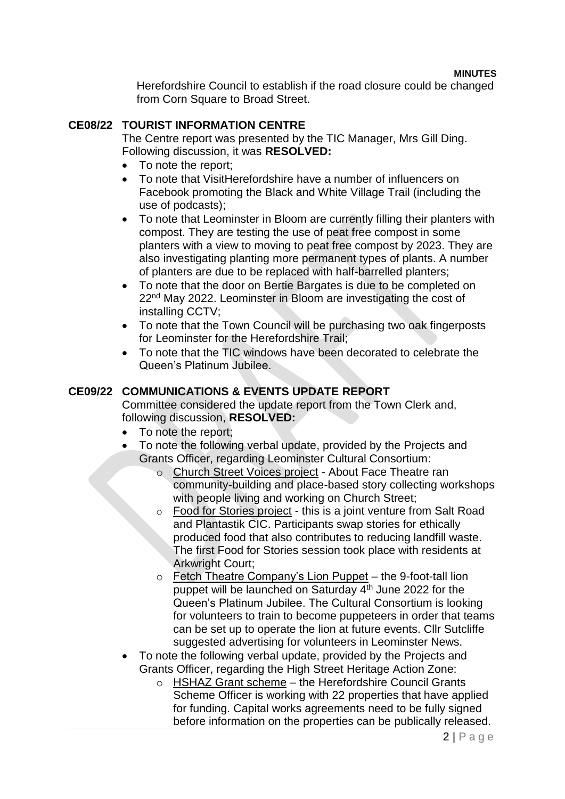**MINUTES**

Herefordshire Council to establish if the road closure could be changed from Corn Square to Broad Street.

#### **CE08/22 TOURIST INFORMATION CENTRE**

The Centre report was presented by the TIC Manager, Mrs Gill Ding. Following discussion, it was **RESOLVED:**

- To note the report;
- To note that VisitHerefordshire have a number of influencers on Facebook promoting the Black and White Village Trail (including the use of podcasts);
- To note that Leominster in Bloom are currently filling their planters with compost. They are testing the use of peat free compost in some planters with a view to moving to peat free compost by 2023. They are also investigating planting more permanent types of plants. A number of planters are due to be replaced with half-barrelled planters;
- To note that the door on Bertie Bargates is due to be completed on 22nd May 2022. Leominster in Bloom are investigating the cost of installing CCTV;
- To note that the Town Council will be purchasing two oak fingerposts for Leominster for the Herefordshire Trail;
- To note that the TIC windows have been decorated to celebrate the Queen's Platinum Jubilee.

#### **CE09/22 COMMUNICATIONS & EVENTS UPDATE REPORT**

Committee considered the update report from the Town Clerk and, following discussion, **RESOLVED:**

- To note the report;
- To note the following verbal update, provided by the Projects and Grants Officer, regarding Leominster Cultural Consortium:
	- o Church Street Voices project About Face Theatre ran community-building and place-based story collecting workshops with people living and working on Church Street;
	- o Food for Stories project this is a joint venture from Salt Road and Plantastik CIC. Participants swap stories for ethically produced food that also contributes to reducing landfill waste. The first Food for Stories session took place with residents at Arkwright Court;
	- o Fetch Theatre Company's Lion Puppet the 9-foot-tall lion puppet will be launched on Saturday 4<sup>th</sup> June 2022 for the Queen's Platinum Jubilee. The Cultural Consortium is looking for volunteers to train to become puppeteers in order that teams can be set up to operate the lion at future events. Cllr Sutcliffe suggested advertising for volunteers in Leominster News.
- To note the following verbal update, provided by the Projects and Grants Officer, regarding the High Street Heritage Action Zone:
	- o HSHAZ Grant scheme the Herefordshire Council Grants Scheme Officer is working with 22 properties that have applied for funding. Capital works agreements need to be fully signed before information on the properties can be publically released.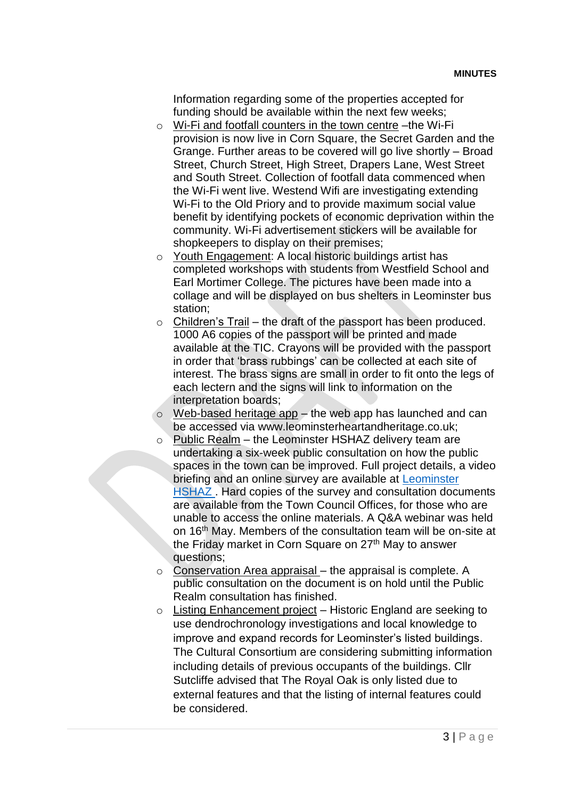Information regarding some of the properties accepted for funding should be available within the next few weeks;

- o Wi-Fi and footfall counters in the town centre –the Wi-Fi provision is now live in Corn Square, the Secret Garden and the Grange. Further areas to be covered will go live shortly – Broad Street, Church Street, High Street, Drapers Lane, West Street and South Street. Collection of footfall data commenced when the Wi-Fi went live. Westend Wifi are investigating extending Wi-Fi to the Old Priory and to provide maximum social value benefit by identifying pockets of economic deprivation within the community. Wi-Fi advertisement stickers will be available for shopkeepers to display on their premises;
- o Youth Engagement: A local historic buildings artist has completed workshops with students from Westfield School and Earl Mortimer College. The pictures have been made into a collage and will be displayed on bus shelters in Leominster bus station;
- $\circ$  Children's Trail the draft of the passport has been produced. 1000 A6 copies of the passport will be printed and made available at the TIC. Crayons will be provided with the passport in order that 'brass rubbings' can be collected at each site of interest. The brass signs are small in order to fit onto the legs of each lectern and the signs will link to information on the interpretation boards;
- $\circ$  Web-based heritage app the web app has launched and can be accessed via www.leominsterheartandheritage.co.uk;
- $\circ$  Public Realm the Leominster HSHAZ delivery team are undertaking a six-week public consultation on how the public spaces in the town can be improved. Full project details, a video briefing and an online survey are available at [Leominster](http://www.herefordshire.gov.uk/leominsterhaz)  [HSHAZ .](http://www.herefordshire.gov.uk/leominsterhaz) Hard copies of the survey and consultation documents are available from the Town Council Offices, for those who are unable to access the online materials. A Q&A webinar was held on 16th May. Members of the consultation team will be on-site at the Friday market in Corn Square on  $27<sup>th</sup>$  May to answer questions;
- o Conservation Area appraisal the appraisal is complete. A public consultation on the document is on hold until the Public Realm consultation has finished.
- $\circ$  Listing Enhancement project Historic England are seeking to use dendrochronology investigations and local knowledge to improve and expand records for Leominster's listed buildings. The Cultural Consortium are considering submitting information including details of previous occupants of the buildings. Cllr Sutcliffe advised that The Royal Oak is only listed due to external features and that the listing of internal features could be considered.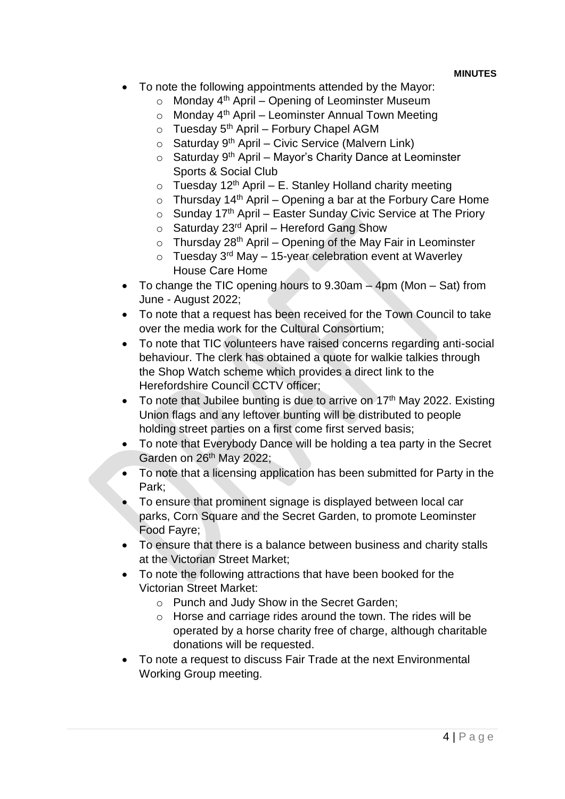- To note the following appointments attended by the Mayor:
	- $\circ$  Monday 4<sup>th</sup> April Opening of Leominster Museum
	- $\circ$  Monday 4<sup>th</sup> April Leominster Annual Town Meeting
	- $\circ$  Tuesday 5<sup>th</sup> April Forbury Chapel AGM
	- $\circ$  Saturday 9<sup>th</sup> April Civic Service (Malvern Link)
	- $\circ$  Saturday 9<sup>th</sup> April Mayor's Charity Dance at Leominster Sports & Social Club
	- $\circ$  Tuesday 12<sup>th</sup> April E. Stanley Holland charity meeting
	- $\circ$  Thursday 14<sup>th</sup> April Opening a bar at the Forbury Care Home
	- $\circ$  Sunday 17<sup>th</sup> April Easter Sunday Civic Service at The Priory
	- $\circ$  Saturday 23<sup>rd</sup> April Hereford Gang Show
	- $\circ$  Thursday 28<sup>th</sup> April Opening of the May Fair in Leominster
	- $\circ$  Tuesday 3<sup>rd</sup> May 15-year celebration event at Waverley House Care Home
- To change the TIC opening hours to 9.30am 4pm (Mon Sat) from June - August 2022;
- To note that a request has been received for the Town Council to take over the media work for the Cultural Consortium;
- To note that TIC volunteers have raised concerns regarding anti-social behaviour. The clerk has obtained a quote for walkie talkies through the Shop Watch scheme which provides a direct link to the Herefordshire Council CCTV officer;
- $\bullet$  To note that Jubilee bunting is due to arrive on 17<sup>th</sup> May 2022. Existing Union flags and any leftover bunting will be distributed to people holding street parties on a first come first served basis;
- To note that Everybody Dance will be holding a tea party in the Secret Garden on 26<sup>th</sup> May 2022;
- To note that a licensing application has been submitted for Party in the Park;
- To ensure that prominent signage is displayed between local car parks, Corn Square and the Secret Garden, to promote Leominster Food Fayre;
- To ensure that there is a balance between business and charity stalls at the Victorian Street Market;
- To note the following attractions that have been booked for the Victorian Street Market:
	- o Punch and Judy Show in the Secret Garden;
	- o Horse and carriage rides around the town. The rides will be operated by a horse charity free of charge, although charitable donations will be requested.
- To note a request to discuss Fair Trade at the next Environmental Working Group meeting.